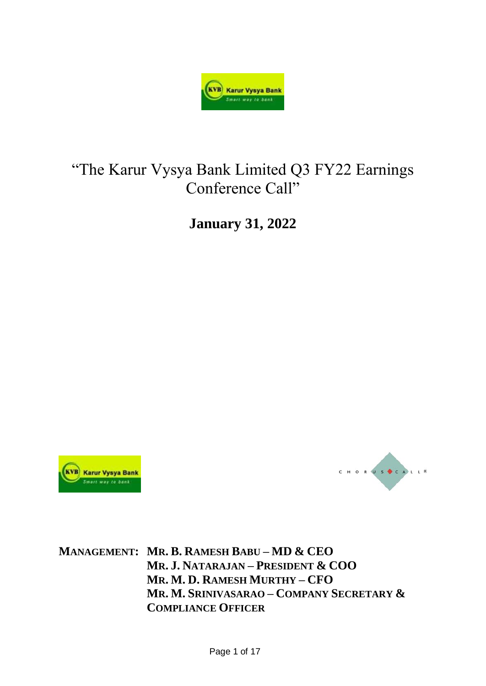

# "The Karur Vysya Bank Limited Q3 FY22 Earnings Conference Call"

**January 31, 2022**





**MANAGEMENT: MR. B. RAMESH BABU – MD & CEO MR. J. NATARAJAN – PRESIDENT & COO MR. M. D. RAMESH MURTHY – CFO MR. M. SRINIVASARAO – COMPANY SECRETARY & COMPLIANCE OFFICER**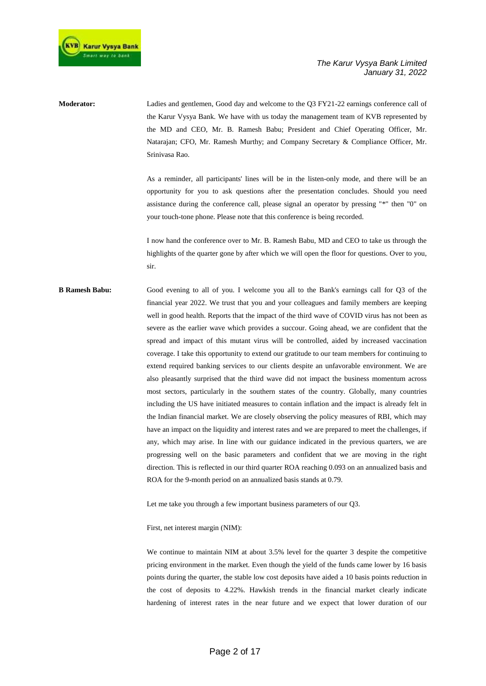

**Moderator:** Ladies and gentlemen, Good day and welcome to the Q3 FY21-22 earnings conference call of the Karur Vysya Bank. We have with us today the management team of KVB represented by the MD and CEO, Mr. B. Ramesh Babu; President and Chief Operating Officer, Mr. Natarajan; CFO, Mr. Ramesh Murthy; and Company Secretary & Compliance Officer, Mr. Srinivasa Rao.

> As a reminder, all participants' lines will be in the listen-only mode, and there will be an opportunity for you to ask questions after the presentation concludes. Should you need assistance during the conference call, please signal an operator by pressing "\*" then "0" on your touch-tone phone. Please note that this conference is being recorded.

> I now hand the conference over to Mr. B. Ramesh Babu, MD and CEO to take us through the highlights of the quarter gone by after which we will open the floor for questions. Over to you, sir.

**B Ramesh Babu:** Good evening to all of you. I welcome you all to the Bank's earnings call for Q3 of the financial year 2022. We trust that you and your colleagues and family members are keeping well in good health. Reports that the impact of the third wave of COVID virus has not been as severe as the earlier wave which provides a succour. Going ahead, we are confident that the spread and impact of this mutant virus will be controlled, aided by increased vaccination coverage. I take this opportunity to extend our gratitude to our team members for continuing to extend required banking services to our clients despite an unfavorable environment. We are also pleasantly surprised that the third wave did not impact the business momentum across most sectors, particularly in the southern states of the country. Globally, many countries including the US have initiated measures to contain inflation and the impact is already felt in the Indian financial market. We are closely observing the policy measures of RBI, which may have an impact on the liquidity and interest rates and we are prepared to meet the challenges, if any, which may arise. In line with our guidance indicated in the previous quarters, we are progressing well on the basic parameters and confident that we are moving in the right direction. This is reflected in our third quarter ROA reaching 0.093 on an annualized basis and ROA for the 9-month period on an annualized basis stands at 0.79.

Let me take you through a few important business parameters of our Q3.

First, net interest margin (NIM):

We continue to maintain NIM at about 3.5% level for the quarter 3 despite the competitive pricing environment in the market. Even though the yield of the funds came lower by 16 basis points during the quarter, the stable low cost deposits have aided a 10 basis points reduction in the cost of deposits to 4.22%. Hawkish trends in the financial market clearly indicate hardening of interest rates in the near future and we expect that lower duration of our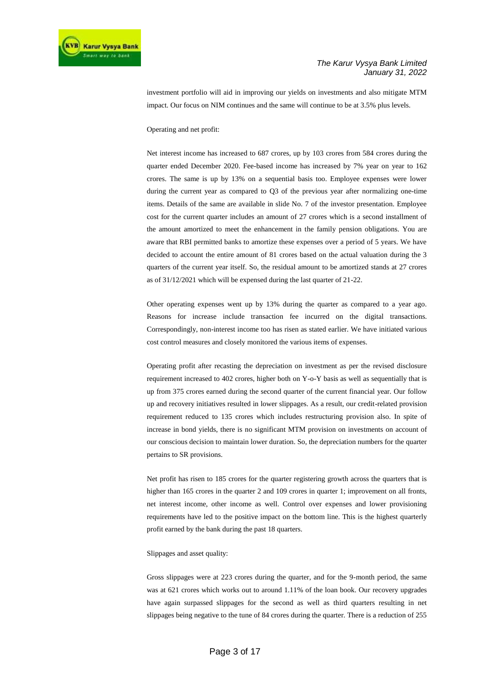investment portfolio will aid in improving our yields on investments and also mitigate MTM impact. Our focus on NIM continues and the same will continue to be at 3.5% plus levels.

#### Operating and net profit:

Net interest income has increased to 687 crores, up by 103 crores from 584 crores during the quarter ended December 2020. Fee-based income has increased by 7% year on year to 162 crores. The same is up by 13% on a sequential basis too. Employee expenses were lower during the current year as compared to Q3 of the previous year after normalizing one-time items. Details of the same are available in slide No. 7 of the investor presentation. Employee cost for the current quarter includes an amount of 27 crores which is a second installment of the amount amortized to meet the enhancement in the family pension obligations. You are aware that RBI permitted banks to amortize these expenses over a period of 5 years. We have decided to account the entire amount of 81 crores based on the actual valuation during the 3 quarters of the current year itself. So, the residual amount to be amortized stands at 27 crores as of 31/12/2021 which will be expensed during the last quarter of 21-22.

Other operating expenses went up by 13% during the quarter as compared to a year ago. Reasons for increase include transaction fee incurred on the digital transactions. Correspondingly, non-interest income too has risen as stated earlier. We have initiated various cost control measures and closely monitored the various items of expenses.

Operating profit after recasting the depreciation on investment as per the revised disclosure requirement increased to 402 crores, higher both on Y-o-Y basis as well as sequentially that is up from 375 crores earned during the second quarter of the current financial year. Our follow up and recovery initiatives resulted in lower slippages. As a result, our credit-related provision requirement reduced to 135 crores which includes restructuring provision also. In spite of increase in bond yields, there is no significant MTM provision on investments on account of our conscious decision to maintain lower duration. So, the depreciation numbers for the quarter pertains to SR provisions.

Net profit has risen to 185 crores for the quarter registering growth across the quarters that is higher than 165 crores in the quarter 2 and 109 crores in quarter 1; improvement on all fronts, net interest income, other income as well. Control over expenses and lower provisioning requirements have led to the positive impact on the bottom line. This is the highest quarterly profit earned by the bank during the past 18 quarters.

#### Slippages and asset quality:

Gross slippages were at 223 crores during the quarter, and for the 9-month period, the same was at 621 crores which works out to around 1.11% of the loan book. Our recovery upgrades have again surpassed slippages for the second as well as third quarters resulting in net slippages being negative to the tune of 84 crores during the quarter. There is a reduction of 255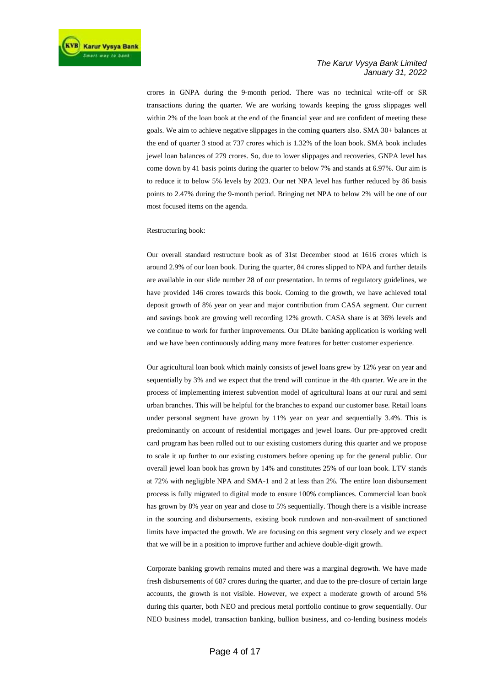crores in GNPA during the 9-month period. There was no technical write-off or SR transactions during the quarter. We are working towards keeping the gross slippages well within 2% of the loan book at the end of the financial year and are confident of meeting these goals. We aim to achieve negative slippages in the coming quarters also. SMA 30+ balances at the end of quarter 3 stood at 737 crores which is 1.32% of the loan book. SMA book includes jewel loan balances of 279 crores. So, due to lower slippages and recoveries, GNPA level has come down by 41 basis points during the quarter to below 7% and stands at 6.97%. Our aim is to reduce it to below 5% levels by 2023. Our net NPA level has further reduced by 86 basis points to 2.47% during the 9-month period. Bringing net NPA to below 2% will be one of our most focused items on the agenda.

#### Restructuring book:

Our overall standard restructure book as of 31st December stood at 1616 crores which is around 2.9% of our loan book. During the quarter, 84 crores slipped to NPA and further details are available in our slide number 28 of our presentation. In terms of regulatory guidelines, we have provided 146 crores towards this book. Coming to the growth, we have achieved total deposit growth of 8% year on year and major contribution from CASA segment. Our current and savings book are growing well recording 12% growth. CASA share is at 36% levels and we continue to work for further improvements. Our DLite banking application is working well and we have been continuously adding many more features for better customer experience.

Our agricultural loan book which mainly consists of jewel loans grew by 12% year on year and sequentially by 3% and we expect that the trend will continue in the 4th quarter. We are in the process of implementing interest subvention model of agricultural loans at our rural and semi urban branches. This will be helpful for the branches to expand our customer base. Retail loans under personal segment have grown by 11% year on year and sequentially 3.4%. This is predominantly on account of residential mortgages and jewel loans. Our pre-approved credit card program has been rolled out to our existing customers during this quarter and we propose to scale it up further to our existing customers before opening up for the general public. Our overall jewel loan book has grown by 14% and constitutes 25% of our loan book. LTV stands at 72% with negligible NPA and SMA-1 and 2 at less than 2%. The entire loan disbursement process is fully migrated to digital mode to ensure 100% compliances. Commercial loan book has grown by 8% year on year and close to 5% sequentially. Though there is a visible increase in the sourcing and disbursements, existing book rundown and non-availment of sanctioned limits have impacted the growth. We are focusing on this segment very closely and we expect that we will be in a position to improve further and achieve double-digit growth.

Corporate banking growth remains muted and there was a marginal degrowth. We have made fresh disbursements of 687 crores during the quarter, and due to the pre-closure of certain large accounts, the growth is not visible. However, we expect a moderate growth of around 5% during this quarter, both NEO and precious metal portfolio continue to grow sequentially. Our NEO business model, transaction banking, bullion business, and co-lending business models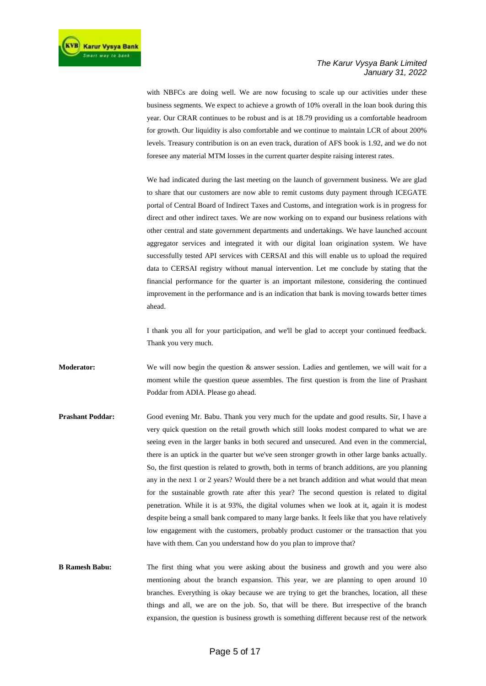with NBFCs are doing well. We are now focusing to scale up our activities under these business segments. We expect to achieve a growth of 10% overall in the loan book during this year. Our CRAR continues to be robust and is at 18.79 providing us a comfortable headroom for growth. Our liquidity is also comfortable and we continue to maintain LCR of about 200% levels. Treasury contribution is on an even track, duration of AFS book is 1.92, and we do not foresee any material MTM losses in the current quarter despite raising interest rates.

We had indicated during the last meeting on the launch of government business. We are glad to share that our customers are now able to remit customs duty payment through ICEGATE portal of Central Board of Indirect Taxes and Customs, and integration work is in progress for direct and other indirect taxes. We are now working on to expand our business relations with other central and state government departments and undertakings. We have launched account aggregator services and integrated it with our digital loan origination system. We have successfully tested API services with CERSAI and this will enable us to upload the required data to CERSAI registry without manual intervention. Let me conclude by stating that the financial performance for the quarter is an important milestone, considering the continued improvement in the performance and is an indication that bank is moving towards better times ahead.

I thank you all for your participation, and we'll be glad to accept your continued feedback. Thank you very much.

**Moderator:** We will now begin the question & answer session. Ladies and gentlemen, we will wait for a moment while the question queue assembles. The first question is from the line of Prashant Poddar from ADIA. Please go ahead.

- **Prashant Poddar:** Good evening Mr. Babu. Thank you very much for the update and good results. Sir, I have a very quick question on the retail growth which still looks modest compared to what we are seeing even in the larger banks in both secured and unsecured. And even in the commercial, there is an uptick in the quarter but we've seen stronger growth in other large banks actually. So, the first question is related to growth, both in terms of branch additions, are you planning any in the next 1 or 2 years? Would there be a net branch addition and what would that mean for the sustainable growth rate after this year? The second question is related to digital penetration. While it is at 93%, the digital volumes when we look at it, again it is modest despite being a small bank compared to many large banks. It feels like that you have relatively low engagement with the customers, probably product customer or the transaction that you have with them. Can you understand how do you plan to improve that?
- **B Ramesh Babu:** The first thing what you were asking about the business and growth and you were also mentioning about the branch expansion. This year, we are planning to open around 10 branches. Everything is okay because we are trying to get the branches, location, all these things and all, we are on the job. So, that will be there. But irrespective of the branch expansion, the question is business growth is something different because rest of the network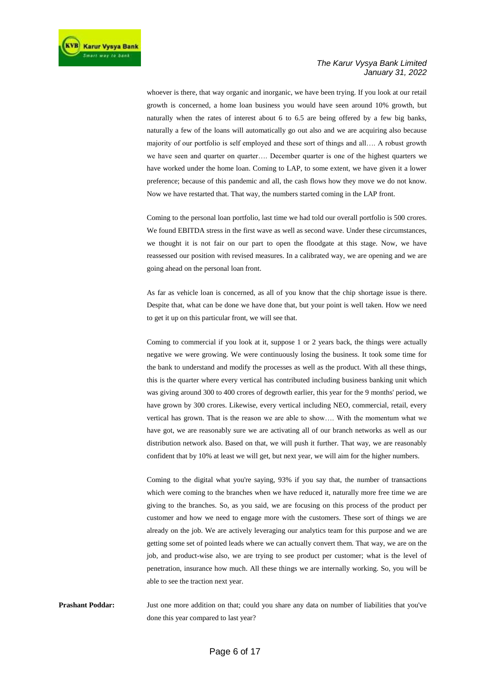whoever is there, that way organic and inorganic, we have been trying. If you look at our retail growth is concerned, a home loan business you would have seen around 10% growth, but naturally when the rates of interest about 6 to 6.5 are being offered by a few big banks, naturally a few of the loans will automatically go out also and we are acquiring also because majority of our portfolio is self employed and these sort of things and all…. A robust growth we have seen and quarter on quarter…. December quarter is one of the highest quarters we have worked under the home loan. Coming to LAP, to some extent, we have given it a lower preference; because of this pandemic and all, the cash flows how they move we do not know. Now we have restarted that. That way, the numbers started coming in the LAP front.

Coming to the personal loan portfolio, last time we had told our overall portfolio is 500 crores. We found EBITDA stress in the first wave as well as second wave. Under these circumstances, we thought it is not fair on our part to open the floodgate at this stage. Now, we have reassessed our position with revised measures. In a calibrated way, we are opening and we are going ahead on the personal loan front.

As far as vehicle loan is concerned, as all of you know that the chip shortage issue is there. Despite that, what can be done we have done that, but your point is well taken. How we need to get it up on this particular front, we will see that.

Coming to commercial if you look at it, suppose 1 or 2 years back, the things were actually negative we were growing. We were continuously losing the business. It took some time for the bank to understand and modify the processes as well as the product. With all these things, this is the quarter where every vertical has contributed including business banking unit which was giving around 300 to 400 crores of degrowth earlier, this year for the 9 months' period, we have grown by 300 crores. Likewise, every vertical including NEO, commercial, retail, every vertical has grown. That is the reason we are able to show…. With the momentum what we have got, we are reasonably sure we are activating all of our branch networks as well as our distribution network also. Based on that, we will push it further. That way, we are reasonably confident that by 10% at least we will get, but next year, we will aim for the higher numbers.

Coming to the digital what you're saying, 93% if you say that, the number of transactions which were coming to the branches when we have reduced it, naturally more free time we are giving to the branches. So, as you said, we are focusing on this process of the product per customer and how we need to engage more with the customers. These sort of things we are already on the job. We are actively leveraging our analytics team for this purpose and we are getting some set of pointed leads where we can actually convert them. That way, we are on the job, and product-wise also, we are trying to see product per customer; what is the level of penetration, insurance how much. All these things we are internally working. So, you will be able to see the traction next year.

**Prashant Poddar:** Just one more addition on that; could you share any data on number of liabilities that you've done this year compared to last year?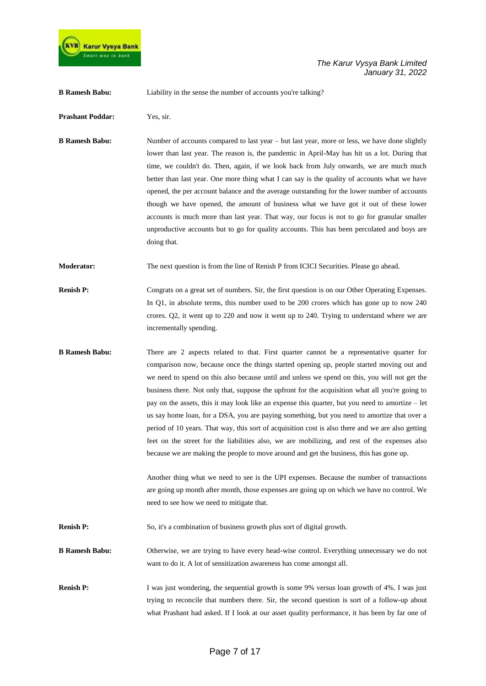

**B Ramesh Babu:** Liability in the sense the number of accounts you're talking?

**Prashant Poddar:** Yes, sir.

**B Ramesh Babu:** Number of accounts compared to last year – but last year, more or less, we have done slightly lower than last year. The reason is, the pandemic in April-May has hit us a lot. During that time, we couldn't do. Then, again, if we look back from July onwards, we are much much better than last year. One more thing what I can say is the quality of accounts what we have opened, the per account balance and the average outstanding for the lower number of accounts though we have opened, the amount of business what we have got it out of these lower accounts is much more than last year. That way, our focus is not to go for granular smaller unproductive accounts but to go for quality accounts. This has been percolated and boys are doing that.

**Moderator:** The next question is from the line of Renish P from ICICI Securities. Please go ahead.

- **Renish P:** Congrats on a great set of numbers. Sir, the first question is on our Other Operating Expenses. In Q1, in absolute terms, this number used to be 200 crores which has gone up to now 240 crores. Q2, it went up to 220 and now it went up to 240. Trying to understand where we are incrementally spending.
- **B Ramesh Babu:** There are 2 aspects related to that. First quarter cannot be a representative quarter for comparison now, because once the things started opening up, people started moving out and we need to spend on this also because until and unless we spend on this, you will not get the business there. Not only that, suppose the upfront for the acquisition what all you're going to pay on the assets, this it may look like an expense this quarter, but you need to amortize – let us say home loan, for a DSA, you are paying something, but you need to amortize that over a period of 10 years. That way, this sort of acquisition cost is also there and we are also getting feet on the street for the liabilities also, we are mobilizing, and rest of the expenses also because we are making the people to move around and get the business, this has gone up.

Another thing what we need to see is the UPI expenses. Because the number of transactions are going up month after month, those expenses are going up on which we have no control. We need to see how we need to mitigate that.

**Renish P:** So, it's a combination of business growth plus sort of digital growth.

**B Ramesh Babu:** Otherwise, we are trying to have every head-wise control. Everything unnecessary we do not want to do it. A lot of sensitization awareness has come amongst all.

**Renish P:** I was just wondering, the sequential growth is some 9% versus loan growth of 4%. I was just trying to reconcile that numbers there. Sir, the second question is sort of a follow-up about what Prashant had asked. If I look at our asset quality performance, it has been by far one of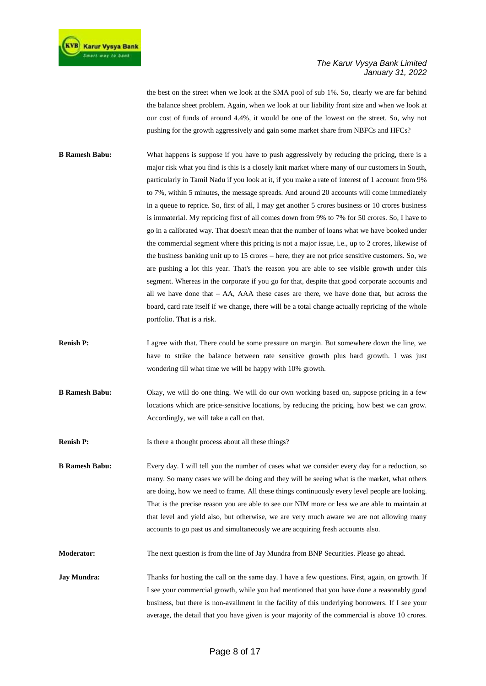the best on the street when we look at the SMA pool of sub 1%. So, clearly we are far behind the balance sheet problem. Again, when we look at our liability front size and when we look at our cost of funds of around 4.4%, it would be one of the lowest on the street. So, why not pushing for the growth aggressively and gain some market share from NBFCs and HFCs?

- **B Ramesh Babu:** What happens is suppose if you have to push aggressively by reducing the pricing, there is a major risk what you find is this is a closely knit market where many of our customers in South, particularly in Tamil Nadu if you look at it, if you make a rate of interest of 1 account from 9% to 7%, within 5 minutes, the message spreads. And around 20 accounts will come immediately in a queue to reprice. So, first of all, I may get another 5 crores business or 10 crores business is immaterial. My repricing first of all comes down from 9% to 7% for 50 crores. So, I have to go in a calibrated way. That doesn't mean that the number of loans what we have booked under the commercial segment where this pricing is not a major issue, i.e., up to 2 crores, likewise of the business banking unit up to 15 crores – here, they are not price sensitive customers. So, we are pushing a lot this year. That's the reason you are able to see visible growth under this segment. Whereas in the corporate if you go for that, despite that good corporate accounts and all we have done that – AA, AAA these cases are there, we have done that, but across the board, card rate itself if we change, there will be a total change actually repricing of the whole portfolio. That is a risk.
- **Renish P:** I agree with that. There could be some pressure on margin. But somewhere down the line, we have to strike the balance between rate sensitive growth plus hard growth. I was just wondering till what time we will be happy with 10% growth.
- **B Ramesh Babu:** Okay, we will do one thing. We will do our own working based on, suppose pricing in a few locations which are price-sensitive locations, by reducing the pricing, how best we can grow. Accordingly, we will take a call on that.
- **Renish P:** Is there a thought process about all these things?

**B Ramesh Babu:** Every day. I will tell you the number of cases what we consider every day for a reduction, so many. So many cases we will be doing and they will be seeing what is the market, what others are doing, how we need to frame. All these things continuously every level people are looking. That is the precise reason you are able to see our NIM more or less we are able to maintain at that level and yield also, but otherwise, we are very much aware we are not allowing many accounts to go past us and simultaneously we are acquiring fresh accounts also.

**Moderator:** The next question is from the line of Jay Mundra from BNP Securities. Please go ahead.

**Jay Mundra:** Thanks for hosting the call on the same day. I have a few questions. First, again, on growth. If I see your commercial growth, while you had mentioned that you have done a reasonably good business, but there is non-availment in the facility of this underlying borrowers. If I see your average, the detail that you have given is your majority of the commercial is above 10 crores.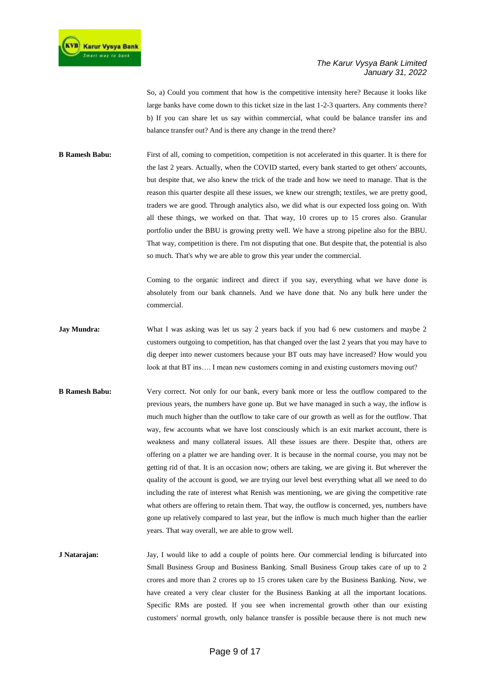So, a) Could you comment that how is the competitive intensity here? Because it looks like large banks have come down to this ticket size in the last 1-2-3 quarters. Any comments there? b) If you can share let us say within commercial, what could be balance transfer ins and balance transfer out? And is there any change in the trend there?

**B Ramesh Babu:** First of all, coming to competition, competition is not accelerated in this quarter. It is there for the last 2 years. Actually, when the COVID started, every bank started to get others' accounts, but despite that, we also knew the trick of the trade and how we need to manage. That is the reason this quarter despite all these issues, we knew our strength; textiles, we are pretty good, traders we are good. Through analytics also, we did what is our expected loss going on. With all these things, we worked on that. That way, 10 crores up to 15 crores also. Granular portfolio under the BBU is growing pretty well. We have a strong pipeline also for the BBU. That way, competition is there. I'm not disputing that one. But despite that, the potential is also so much. That's why we are able to grow this year under the commercial.

> Coming to the organic indirect and direct if you say, everything what we have done is absolutely from our bank channels. And we have done that. No any bulk here under the commercial.

- **Jay Mundra:** What I was asking was let us say 2 years back if you had 6 new customers and maybe 2 customers outgoing to competition, has that changed over the last 2 years that you may have to dig deeper into newer customers because your BT outs may have increased? How would you look at that BT ins.... I mean new customers coming in and existing customers moving out?
- **B Ramesh Babu:** Very correct. Not only for our bank, every bank more or less the outflow compared to the previous years, the numbers have gone up. But we have managed in such a way, the inflow is much much higher than the outflow to take care of our growth as well as for the outflow. That way, few accounts what we have lost consciously which is an exit market account, there is weakness and many collateral issues. All these issues are there. Despite that, others are offering on a platter we are handing over. It is because in the normal course, you may not be getting rid of that. It is an occasion now; others are taking, we are giving it. But wherever the quality of the account is good, we are trying our level best everything what all we need to do including the rate of interest what Renish was mentioning, we are giving the competitive rate what others are offering to retain them. That way, the outflow is concerned, yes, numbers have gone up relatively compared to last year, but the inflow is much much higher than the earlier years. That way overall, we are able to grow well.
- **J Natarajan:** Jay, I would like to add a couple of points here. Our commercial lending is bifurcated into Small Business Group and Business Banking. Small Business Group takes care of up to 2 crores and more than 2 crores up to 15 crores taken care by the Business Banking. Now, we have created a very clear cluster for the Business Banking at all the important locations. Specific RMs are posted. If you see when incremental growth other than our existing customers' normal growth, only balance transfer is possible because there is not much new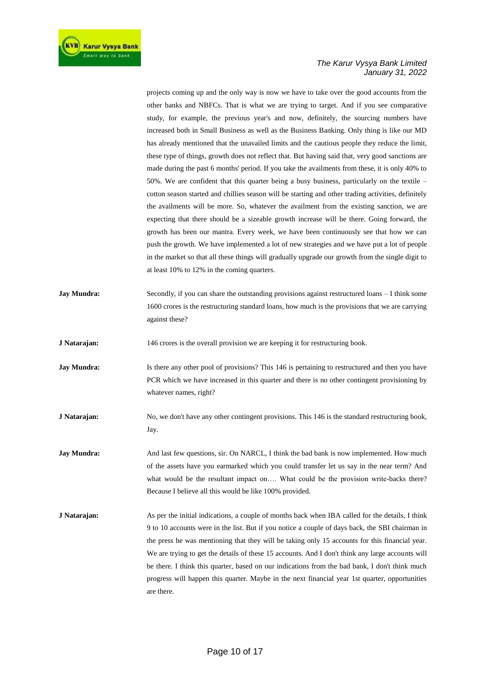

projects coming up and the only way is now we have to take over the good accounts from the other banks and NBFCs. That is what we are trying to target. And if you see comparative study, for example, the previous year's and now, definitely, the sourcing numbers have increased both in Small Business as well as the Business Banking. Only thing is like our MD has already mentioned that the unavailed limits and the cautious people they reduce the limit, these type of things, growth does not reflect that. But having said that, very good sanctions are made during the past 6 months' period. If you take the availments from these, it is only 40% to 50%. We are confident that this quarter being a busy business, particularly on the textile – cotton season started and chillies season will be starting and other trading activities, definitely the availments will be more. So, whatever the availment from the existing sanction, we are expecting that there should be a sizeable growth increase will be there. Going forward, the growth has been our mantra. Every week, we have been continuously see that how we can push the growth. We have implemented a lot of new strategies and we have put a lot of people in the market so that all these things will gradually upgrade our growth from the single digit to at least 10% to 12% in the coming quarters.

**Jay Mundra:** Secondly, if you can share the outstanding provisions against restructured loans – I think some 1600 crores is the restructuring standard loans, how much is the provisions that we are carrying against these?

**J Natarajan:** 146 crores is the overall provision we are keeping it for restructuring book.

**Jay Mundra:** Is there any other pool of provisions? This 146 is pertaining to restructured and then you have PCR which we have increased in this quarter and there is no other contingent provisioning by whatever names, right?

- **J Natarajan:** No, we don't have any other contingent provisions. This 146 is the standard restructuring book, Jay.
- **Jay Mundra:** And last few questions, sir. On NARCL, I think the bad bank is now implemented. How much of the assets have you earmarked which you could transfer let us say in the near term? And what would be the resultant impact on…. What could be the provision write-backs there? Because I believe all this would be like 100% provided.
- **J Natarajan:** As per the initial indications, a couple of months back when IBA called for the details, I think 9 to 10 accounts were in the list. But if you notice a couple of days back, the SBI chairman in the press he was mentioning that they will be taking only 15 accounts for this financial year. We are trying to get the details of these 15 accounts. And I don't think any large accounts will be there. I think this quarter, based on our indications from the bad bank, I don't think much progress will happen this quarter. Maybe in the next financial year 1st quarter, opportunities are there.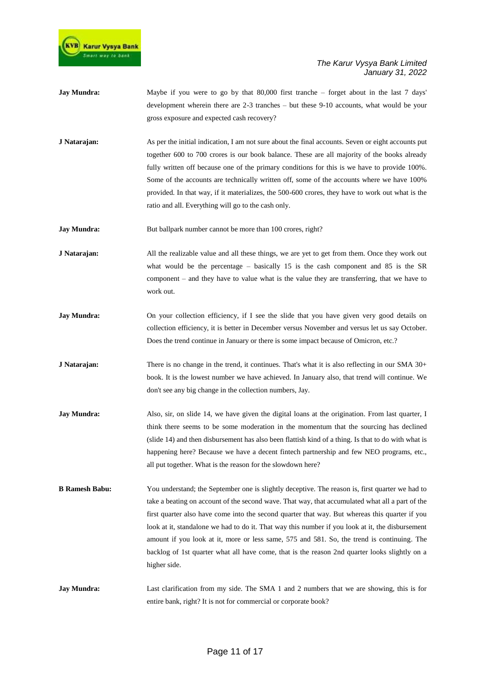

- **Jay Mundra:** Maybe if you were to go by that 80,000 first tranche forget about in the last 7 days' development wherein there are 2-3 tranches – but these 9-10 accounts, what would be your gross exposure and expected cash recovery?
- **J Natarajan:** As per the initial indication, I am not sure about the final accounts. Seven or eight accounts put together 600 to 700 crores is our book balance. These are all majority of the books already fully written off because one of the primary conditions for this is we have to provide 100%. Some of the accounts are technically written off, some of the accounts where we have 100% provided. In that way, if it materializes, the 500-600 crores, they have to work out what is the ratio and all. Everything will go to the cash only.
- **Jay Mundra:** But ballpark number cannot be more than 100 crores, right?
- **J Natarajan:** All the realizable value and all these things, we are yet to get from them. Once they work out what would be the percentage – basically 15 is the cash component and 85 is the SR component – and they have to value what is the value they are transferring, that we have to work out.
- **Jay Mundra:** On your collection efficiency, if I see the slide that you have given very good details on collection efficiency, it is better in December versus November and versus let us say October. Does the trend continue in January or there is some impact because of Omicron, etc.?
- **J Natarajan:** There is no change in the trend, it continues. That's what it is also reflecting in our SMA 30+ book. It is the lowest number we have achieved. In January also, that trend will continue. We don't see any big change in the collection numbers, Jay.
- **Jay Mundra:** Also, sir, on slide 14, we have given the digital loans at the origination. From last quarter, I think there seems to be some moderation in the momentum that the sourcing has declined (slide 14) and then disbursement has also been flattish kind of a thing. Is that to do with what is happening here? Because we have a decent fintech partnership and few NEO programs, etc., all put together. What is the reason for the slowdown here?
- **B Ramesh Babu:** You understand; the September one is slightly deceptive. The reason is, first quarter we had to take a beating on account of the second wave. That way, that accumulated what all a part of the first quarter also have come into the second quarter that way. But whereas this quarter if you look at it, standalone we had to do it. That way this number if you look at it, the disbursement amount if you look at it, more or less same, 575 and 581. So, the trend is continuing. The backlog of 1st quarter what all have come, that is the reason 2nd quarter looks slightly on a higher side.
- **Jay Mundra:** Last clarification from my side. The SMA 1 and 2 numbers that we are showing, this is for entire bank, right? It is not for commercial or corporate book?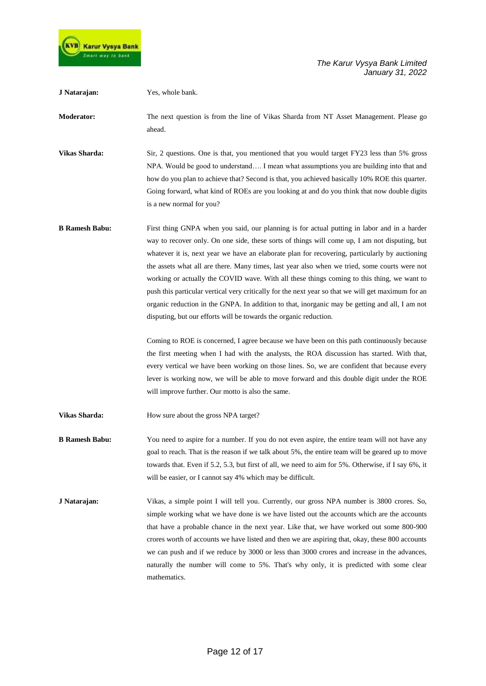

**J Natarajan:** Yes, whole bank. **Moderator:** The next question is from the line of Vikas Sharda from NT Asset Management. Please go ahead. **Vikas Sharda:** Sir, 2 questions. One is that, you mentioned that you would target FY23 less than 5% gross NPA. Would be good to understand…. I mean what assumptions you are building into that and how do you plan to achieve that? Second is that, you achieved basically 10% ROE this quarter. Going forward, what kind of ROEs are you looking at and do you think that now double digits is a new normal for you? **B Ramesh Babu:** First thing GNPA when you said, our planning is for actual putting in labor and in a harder way to recover only. On one side, these sorts of things will come up, I am not disputing, but whatever it is, next year we have an elaborate plan for recovering, particularly by auctioning the assets what all are there. Many times, last year also when we tried, some courts were not working or actually the COVID wave. With all these things coming to this thing, we want to push this particular vertical very critically for the next year so that we will get maximum for an organic reduction in the GNPA. In addition to that, inorganic may be getting and all, I am not disputing, but our efforts will be towards the organic reduction. Coming to ROE is concerned, I agree because we have been on this path continuously because the first meeting when I had with the analysts, the ROA discussion has started. With that, every vertical we have been working on those lines. So, we are confident that because every lever is working now, we will be able to move forward and this double digit under the ROE will improve further. Our motto is also the same. **Vikas Sharda:** How sure about the gross NPA target? **B Ramesh Babu:** You need to aspire for a number. If you do not even aspire, the entire team will not have any goal to reach. That is the reason if we talk about 5%, the entire team will be geared up to move towards that. Even if 5.2, 5.3, but first of all, we need to aim for 5%. Otherwise, if I say 6%, it will be easier, or I cannot say 4% which may be difficult. **J Natarajan:** Vikas, a simple point I will tell you. Currently, our gross NPA number is 3800 crores. So, simple working what we have done is we have listed out the accounts which are the accounts that have a probable chance in the next year. Like that, we have worked out some 800-900 crores worth of accounts we have listed and then we are aspiring that, okay, these 800 accounts we can push and if we reduce by 3000 or less than 3000 crores and increase in the advances,

mathematics.

naturally the number will come to 5%. That's why only, it is predicted with some clear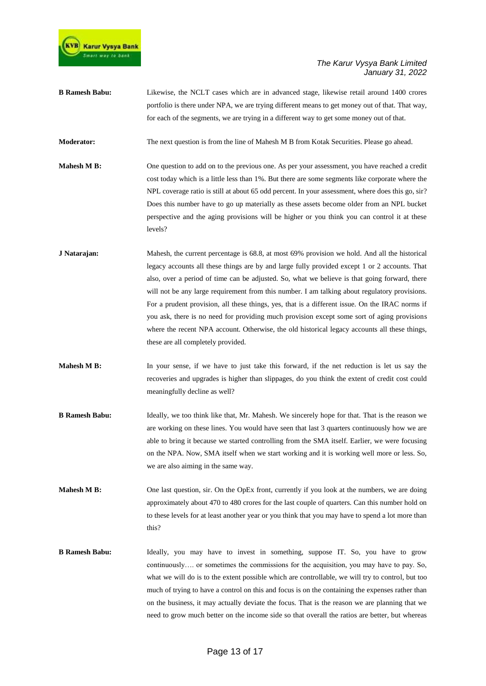

**B Ramesh Babu:** Likewise, the NCLT cases which are in advanced stage, likewise retail around 1400 crores portfolio is there under NPA, we are trying different means to get money out of that. That way, for each of the segments, we are trying in a different way to get some money out of that.

**Moderator:** The next question is from the line of Mahesh M B from Kotak Securities. Please go ahead.

- **Mahesh M B:** One question to add on to the previous one. As per your assessment, you have reached a credit cost today which is a little less than 1%. But there are some segments like corporate where the NPL coverage ratio is still at about 65 odd percent. In your assessment, where does this go, sir? Does this number have to go up materially as these assets become older from an NPL bucket perspective and the aging provisions will be higher or you think you can control it at these levels?
- **J Natarajan:** Mahesh, the current percentage is 68.8, at most 69% provision we hold. And all the historical legacy accounts all these things are by and large fully provided except 1 or 2 accounts. That also, over a period of time can be adjusted. So, what we believe is that going forward, there will not be any large requirement from this number. I am talking about regulatory provisions. For a prudent provision, all these things, yes, that is a different issue. On the IRAC norms if you ask, there is no need for providing much provision except some sort of aging provisions where the recent NPA account. Otherwise, the old historical legacy accounts all these things, these are all completely provided.
- **Mahesh M B:** In your sense, if we have to just take this forward, if the net reduction is let us say the recoveries and upgrades is higher than slippages, do you think the extent of credit cost could meaningfully decline as well?
- **B Ramesh Babu:** Ideally, we too think like that, Mr. Mahesh. We sincerely hope for that. That is the reason we are working on these lines. You would have seen that last 3 quarters continuously how we are able to bring it because we started controlling from the SMA itself. Earlier, we were focusing on the NPA. Now, SMA itself when we start working and it is working well more or less. So, we are also aiming in the same way.
- **Mahesh M B:** One last question, sir. On the OpEx front, currently if you look at the numbers, we are doing approximately about 470 to 480 crores for the last couple of quarters. Can this number hold on to these levels for at least another year or you think that you may have to spend a lot more than this?
- **B Ramesh Babu:** Ideally, you may have to invest in something, suppose IT. So, you have to grow continuously…. or sometimes the commissions for the acquisition, you may have to pay. So, what we will do is to the extent possible which are controllable, we will try to control, but too much of trying to have a control on this and focus is on the containing the expenses rather than on the business, it may actually deviate the focus. That is the reason we are planning that we need to grow much better on the income side so that overall the ratios are better, but whereas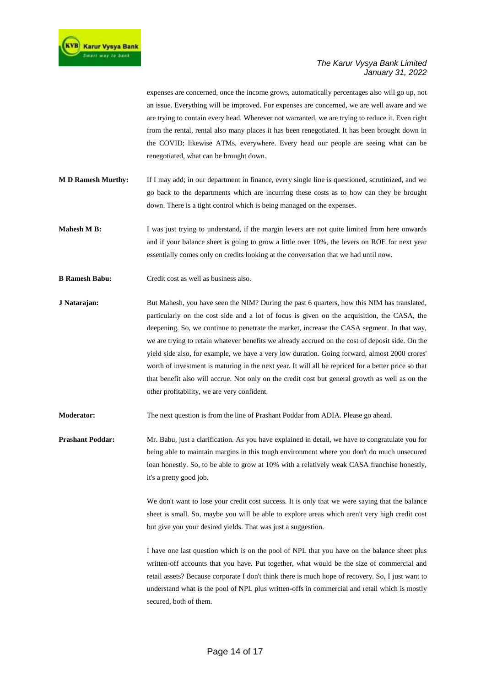

expenses are concerned, once the income grows, automatically percentages also will go up, not an issue. Everything will be improved. For expenses are concerned, we are well aware and we are trying to contain every head. Wherever not warranted, we are trying to reduce it. Even right from the rental, rental also many places it has been renegotiated. It has been brought down in the COVID; likewise ATMs, everywhere. Every head our people are seeing what can be renegotiated, what can be brought down.

- **M D Ramesh Murthy:** If I may add; in our department in finance, every single line is questioned, scrutinized, and we go back to the departments which are incurring these costs as to how can they be brought down. There is a tight control which is being managed on the expenses.
- **Mahesh M B:** I was just trying to understand, if the margin levers are not quite limited from here onwards and if your balance sheet is going to grow a little over 10%, the levers on ROE for next year essentially comes only on credits looking at the conversation that we had until now.
- **B Ramesh Babu:** Credit cost as well as business also.
- **J Natarajan:** But Mahesh, you have seen the NIM? During the past 6 quarters, how this NIM has translated, particularly on the cost side and a lot of focus is given on the acquisition, the CASA, the deepening. So, we continue to penetrate the market, increase the CASA segment. In that way, we are trying to retain whatever benefits we already accrued on the cost of deposit side. On the yield side also, for example, we have a very low duration. Going forward, almost 2000 crores' worth of investment is maturing in the next year. It will all be repriced for a better price so that that benefit also will accrue. Not only on the credit cost but general growth as well as on the other profitability, we are very confident.
- **Moderator:** The next question is from the line of Prashant Poddar from ADIA. Please go ahead.

**Prashant Poddar:** Mr. Babu, just a clarification. As you have explained in detail, we have to congratulate you for being able to maintain margins in this tough environment where you don't do much unsecured loan honestly. So, to be able to grow at 10% with a relatively weak CASA franchise honestly, it's a pretty good job.

> We don't want to lose your credit cost success. It is only that we were saying that the balance sheet is small. So, maybe you will be able to explore areas which aren't very high credit cost but give you your desired yields. That was just a suggestion.

> I have one last question which is on the pool of NPL that you have on the balance sheet plus written-off accounts that you have. Put together, what would be the size of commercial and retail assets? Because corporate I don't think there is much hope of recovery. So, I just want to understand what is the pool of NPL plus written-offs in commercial and retail which is mostly secured, both of them.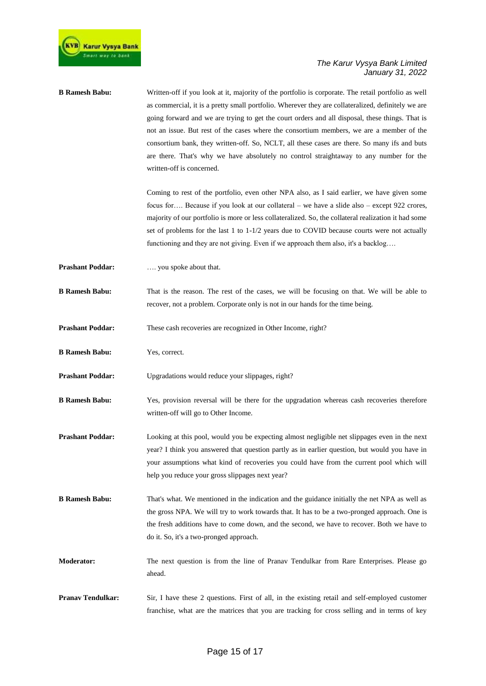

| <b>B</b> Ramesh Babu:   | Written-off if you look at it, majority of the portfolio is corporate. The retail portfolio as well<br>as commercial, it is a pretty small portfolio. Wherever they are collateralized, definitely we are<br>going forward and we are trying to get the court orders and all disposal, these things. That is<br>not an issue. But rest of the cases where the consortium members, we are a member of the<br>consortium bank, they written-off. So, NCLT, all these cases are there. So many ifs and buts<br>are there. That's why we have absolutely no control straightaway to any number for the<br>written-off is concerned. |
|-------------------------|---------------------------------------------------------------------------------------------------------------------------------------------------------------------------------------------------------------------------------------------------------------------------------------------------------------------------------------------------------------------------------------------------------------------------------------------------------------------------------------------------------------------------------------------------------------------------------------------------------------------------------|
|                         | Coming to rest of the portfolio, even other NPA also, as I said earlier, we have given some<br>focus for Because if you look at our collateral – we have a slide also – except 922 crores,<br>majority of our portfolio is more or less collateralized. So, the collateral realization it had some<br>set of problems for the last $1$ to $1-1/2$ years due to COVID because courts were not actually<br>functioning and they are not giving. Even if we approach them also, it's a backlog                                                                                                                                     |
| <b>Prashant Poddar:</b> | you spoke about that.                                                                                                                                                                                                                                                                                                                                                                                                                                                                                                                                                                                                           |
| <b>B</b> Ramesh Babu:   | That is the reason. The rest of the cases, we will be focusing on that. We will be able to<br>recover, not a problem. Corporate only is not in our hands for the time being.                                                                                                                                                                                                                                                                                                                                                                                                                                                    |
| <b>Prashant Poddar:</b> | These cash recoveries are recognized in Other Income, right?                                                                                                                                                                                                                                                                                                                                                                                                                                                                                                                                                                    |
| <b>B</b> Ramesh Babu:   | Yes, correct.                                                                                                                                                                                                                                                                                                                                                                                                                                                                                                                                                                                                                   |
| <b>Prashant Poddar:</b> | Upgradations would reduce your slippages, right?                                                                                                                                                                                                                                                                                                                                                                                                                                                                                                                                                                                |
| <b>B</b> Ramesh Babu:   | Yes, provision reversal will be there for the upgradation whereas cash recoveries therefore<br>written-off will go to Other Income.                                                                                                                                                                                                                                                                                                                                                                                                                                                                                             |
| <b>Prashant Poddar:</b> | Looking at this pool, would you be expecting almost negligible net slippages even in the next<br>year? I think you answered that question partly as in earlier question, but would you have in<br>your assumptions what kind of recoveries you could have from the current pool which will<br>help you reduce your gross slippages next year?                                                                                                                                                                                                                                                                                   |
| <b>B</b> Ramesh Babu:   | That's what. We mentioned in the indication and the guidance initially the net NPA as well as<br>the gross NPA. We will try to work towards that. It has to be a two-pronged approach. One is<br>the fresh additions have to come down, and the second, we have to recover. Both we have to<br>do it. So, it's a two-pronged approach.                                                                                                                                                                                                                                                                                          |
| <b>Moderator:</b>       | The next question is from the line of Pranav Tendulkar from Rare Enterprises. Please go<br>ahead.                                                                                                                                                                                                                                                                                                                                                                                                                                                                                                                               |
| Pranav Tendulkar:       | Sir, I have these 2 questions. First of all, in the existing retail and self-employed customer<br>franchise, what are the matrices that you are tracking for cross selling and in terms of key                                                                                                                                                                                                                                                                                                                                                                                                                                  |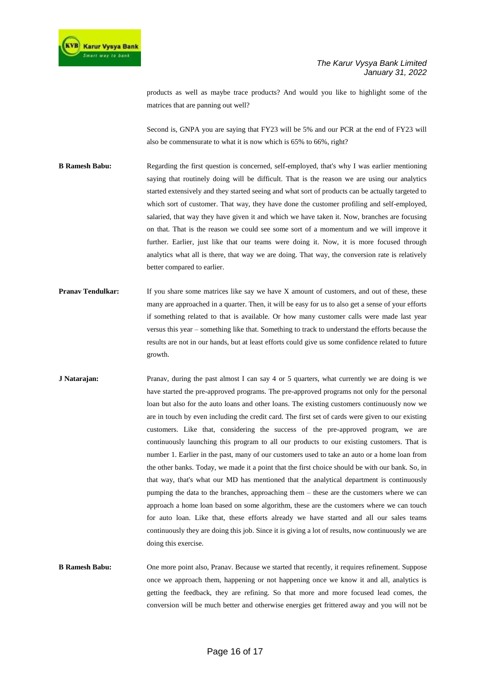products as well as maybe trace products? And would you like to highlight some of the matrices that are panning out well?

Second is, GNPA you are saying that FY23 will be 5% and our PCR at the end of FY23 will also be commensurate to what it is now which is 65% to 66%, right?

- **B Ramesh Babu:** Regarding the first question is concerned, self-employed, that's why I was earlier mentioning saying that routinely doing will be difficult. That is the reason we are using our analytics started extensively and they started seeing and what sort of products can be actually targeted to which sort of customer. That way, they have done the customer profiling and self-employed, salaried, that way they have given it and which we have taken it. Now, branches are focusing on that. That is the reason we could see some sort of a momentum and we will improve it further. Earlier, just like that our teams were doing it. Now, it is more focused through analytics what all is there, that way we are doing. That way, the conversion rate is relatively better compared to earlier.
- **Pranav Tendulkar:** If you share some matrices like say we have X amount of customers, and out of these, these many are approached in a quarter. Then, it will be easy for us to also get a sense of your efforts if something related to that is available. Or how many customer calls were made last year versus this year – something like that. Something to track to understand the efforts because the results are not in our hands, but at least efforts could give us some confidence related to future growth.
- **J Natarajan:** Pranav, during the past almost I can say 4 or 5 quarters, what currently we are doing is we have started the pre-approved programs. The pre-approved programs not only for the personal loan but also for the auto loans and other loans. The existing customers continuously now we are in touch by even including the credit card. The first set of cards were given to our existing customers. Like that, considering the success of the pre-approved program, we are continuously launching this program to all our products to our existing customers. That is number 1. Earlier in the past, many of our customers used to take an auto or a home loan from the other banks. Today, we made it a point that the first choice should be with our bank. So, in that way, that's what our MD has mentioned that the analytical department is continuously pumping the data to the branches, approaching them – these are the customers where we can approach a home loan based on some algorithm, these are the customers where we can touch for auto loan. Like that, these efforts already we have started and all our sales teams continuously they are doing this job. Since it is giving a lot of results, now continuously we are doing this exercise.
- **B Ramesh Babu:** One more point also, Pranav. Because we started that recently, it requires refinement. Suppose once we approach them, happening or not happening once we know it and all, analytics is getting the feedback, they are refining. So that more and more focused lead comes, the conversion will be much better and otherwise energies get frittered away and you will not be